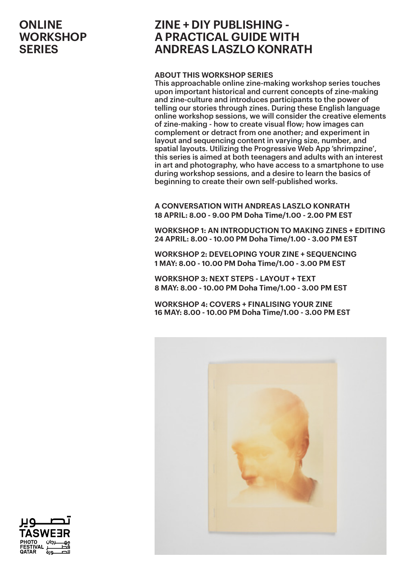## **ZINE + DIY PUBLISHING - A PRACTICAL GUIDE WITH ANDREAS LASZLO KONRATH**

#### **ABOUT THIS WORKSHOP SERIES**

This approachable online zine-making workshop series touches upon important historical and current concepts of zine-making and zine-culture and introduces participants to the power of telling our stories through zines. During these English language online workshop sessions, we will consider the creative elements of zine-making - how to create visual flow; how images can complement or detract from one another; and experiment in layout and sequencing content in varying size, number, and spatial layouts. Utilizing the Progressive Web App 'shrimpzine', this series is aimed at both teenagers and adults with an interest in art and photography, who have access to a smartphone to use during workshop sessions, and a desire to learn the basics of beginning to create their own self-published works.

**A CONVERSATION WITH ANDREAS LASZLO KONRATH 18 APRIL: 8.00 - 9.00 PM Doha Time/1.00 - 2.00 PM EST**

**WORKSHOP 1: AN INTRODUCTION TO MAKING ZINES + EDITING 24 APRIL: 8.00 - 10.00 PM Doha Time/1.00 - 3.00 PM EST**

**WORKSHOP 2: DEVELOPING YOUR ZINE + SEQUENCING 1 MAY: 8.00 - 10.00 PM Doha Time/1.00 - 3.00 PM EST**

**WORKSHOP 3: NEXT STEPS - LAYOUT + TEXT 8 MAY: 8.00 - 10.00 PM Doha Time/1.00 - 3.00 PM EST**

**WORKSHOP 4: COVERS + FINALISING YOUR ZINE 16 MAY: 8.00 - 10.00 PM Doha Time/1.00 - 3.00 PM EST**



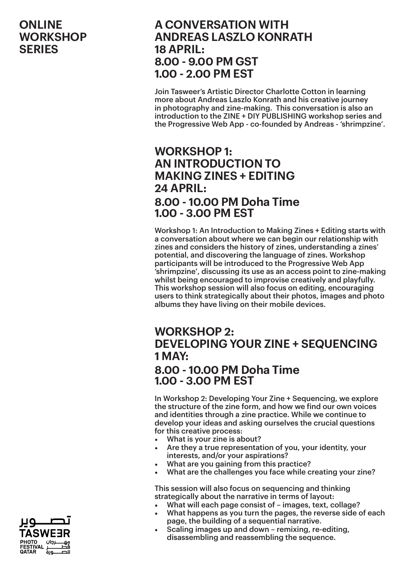## **A CONVERSATION WITH ANDREAS LASZLO KONRATH 18 APRIL: 8.00 - 9.00 PM GST 1.00 - 2.00 PM EST**

Join Tasweer's Artistic Director Charlotte Cotton in learning more about Andreas Laszlo Konrath and his creative journey in photography and zine-making. This conversation is also an introduction to the ZINE + DIY PUBLISHING workshop series and the Progressive Web App - co-founded by Andreas - 'shrimpzine'.

## **WORKSHOP 1: AN INTRODUCTION TO MAKING ZINES + EDITING 24 APRIL: 8.00 - 10.00 PM Doha Time 1.00 - 3.00 PM EST**

Workshop 1: An Introduction to Making Zines + Editing starts with a conversation about where we can begin our relationship with zines and considers the history of zines, understanding a zines' potential, and discovering the language of zines. Workshop participants will be introduced to the Progressive Web App 'shrimpzine', discussing its use as an access point to zine-making whilst being encouraged to improvise creatively and playfully. This workshop session will also focus on editing, encouraging users to think strategically about their photos, images and photo albums they have living on their mobile devices.

# **WORKSHOP 2: DEVELOPING YOUR ZINE + SEQUENCING 1 MAY:**

#### **8.00 - 10.00 PM Doha Time 1.00 - 3.00 PM EST**

In Workshop 2: Developing Your Zine + Sequencing, we explore the structure of the zine form, and how we find our own voices and identities through a zine practice. While we continue to develop your ideas and asking ourselves the crucial questions for this creative process:

- What is your zine is about?
- Are they a true representation of you, your identity, your interests, and/or your aspirations?
- What are you gaining from this practice?
- What are the challenges you face while creating your zine?

This session will also focus on sequencing and thinking strategically about the narrative in terms of layout:

- What will each page consist of images, text, collage?
- What happens as you turn the pages, the reverse side of each page, the building of a sequential narrative.
- Scaling images up and down remixing, re-editing, disassembling and reassembling the sequence.

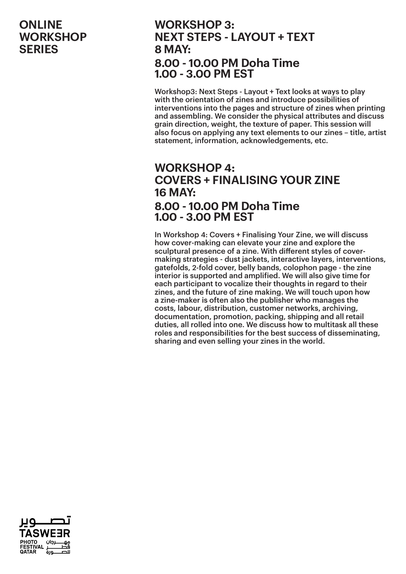### **WORKSHOP 3: NEXT STEPS - LAYOUT + TEXT 8 MAY: 8.00 - 10.00 PM Doha Time 1.00 - 3.00 PM EST**

Workshop3: Next Steps - Layout + Text looks at ways to play with the orientation of zines and introduce possibilities of interventions into the pages and structure of zines when printing and assembling. We consider the physical attributes and discuss grain direction, weight, the texture of paper. This session will also focus on applying any text elements to our zines – title, artist statement, information, acknowledgements, etc.

# **WORKSHOP 4: COVERS + FINALISING YOUR ZINE 16 MAY: 8.00 - 10.00 PM Doha Time 1.00 - 3.00 PM EST**

In Workshop 4: Covers + Finalising Your Zine, we will discuss how cover-making can elevate your zine and explore the sculptural presence of a zine. With different styles of covermaking strategies - dust jackets, interactive layers, interventions, gatefolds, 2-fold cover, belly bands, colophon page - the zine interior is supported and amplified. We will also give time for each participant to vocalize their thoughts in regard to their zines, and the future of zine making. We will touch upon how a zine-maker is often also the publisher who manages the costs, labour, distribution, customer networks, archiving, documentation, promotion, packing, shipping and all retail duties, all rolled into one. We discuss how to multitask all these roles and responsibilities for the best success of disseminating, sharing and even selling your zines in the world.